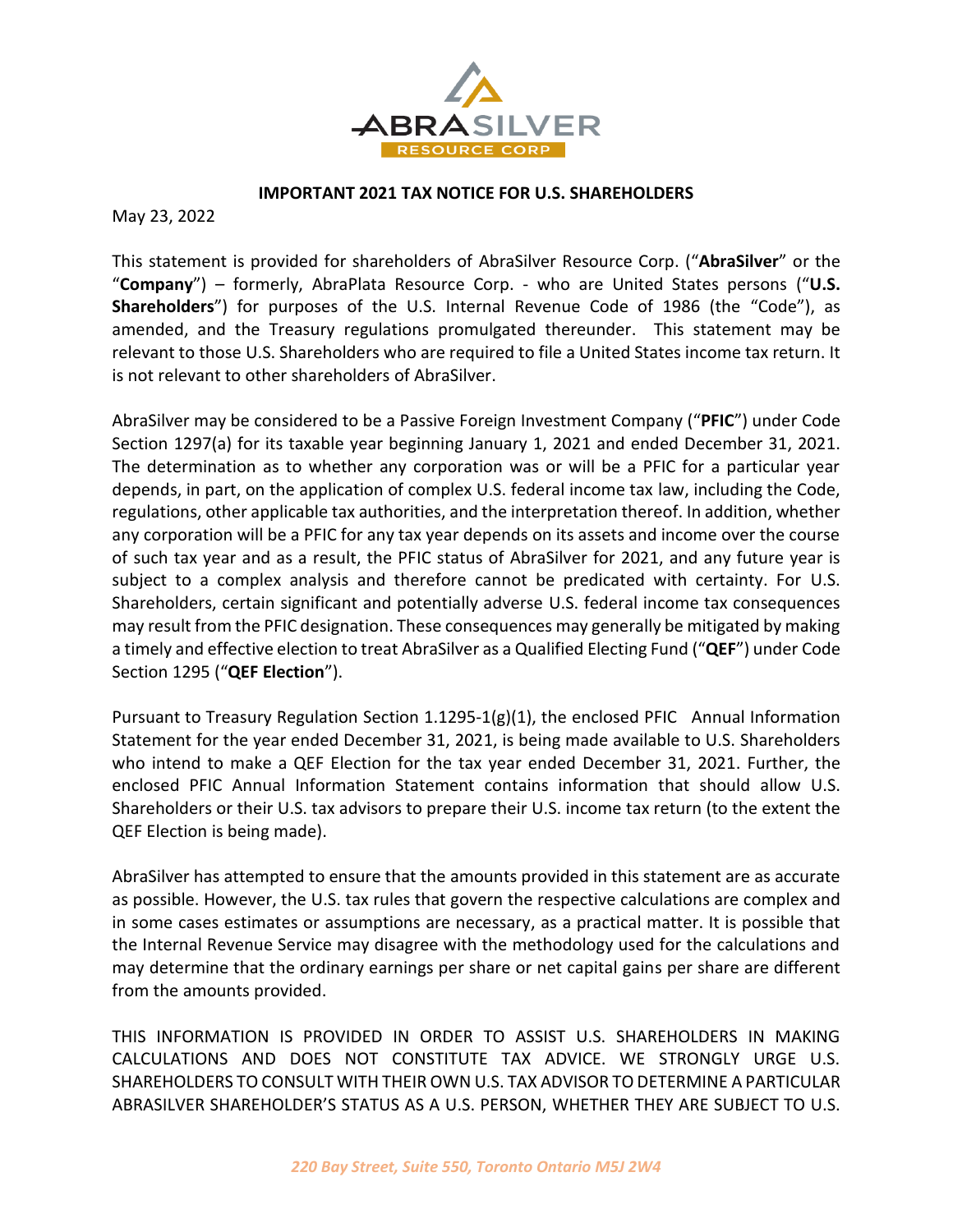

## **IMPORTANT 2021 TAX NOTICE FOR U.S. SHAREHOLDERS**

May 23, 2022

This statement is provided for shareholders of AbraSilver Resource Corp. ("**AbraSilver**" or the "**Company**") – formerly, AbraPlata Resource Corp. - who are United States persons ("**U.S. Shareholders**") for purposes of the U.S. Internal Revenue Code of 1986 (the "Code"), as amended, and the Treasury regulations promulgated thereunder. This statement may be relevant to those U.S. Shareholders who are required to file a United States income tax return. It is not relevant to other shareholders of AbraSilver.

AbraSilver may be considered to be a Passive Foreign Investment Company ("**PFIC**") under Code Section 1297(a) for its taxable year beginning January 1, 2021 and ended December 31, 2021. The determination as to whether any corporation was or will be a PFIC for a particular year depends, in part, on the application of complex U.S. federal income tax law, including the Code, regulations, other applicable tax authorities, and the interpretation thereof. In addition, whether any corporation will be a PFIC for any tax year depends on its assets and income over the course of such tax year and as a result, the PFIC status of AbraSilver for 2021, and any future year is subject to a complex analysis and therefore cannot be predicated with certainty. For U.S. Shareholders, certain significant and potentially adverse U.S. federal income tax consequences may result from the PFIC designation. These consequences may generally be mitigated by making a timely and effective election to treat AbraSilver as a Qualified Electing Fund ("**QEF**") under Code Section 1295 ("**QEF Election**").

Pursuant to Treasury Regulation Section 1.1295-1(g)(1), the enclosed PFIC Annual Information Statement for the year ended December 31, 2021, is being made available to U.S. Shareholders who intend to make a QEF Election for the tax year ended December 31, 2021. Further, the enclosed PFIC Annual Information Statement contains information that should allow U.S. Shareholders or their U.S. tax advisors to prepare their U.S. income tax return (to the extent the QEF Election is being made).

AbraSilver has attempted to ensure that the amounts provided in this statement are as accurate as possible. However, the U.S. tax rules that govern the respective calculations are complex and in some cases estimates or assumptions are necessary, as a practical matter. It is possible that the Internal Revenue Service may disagree with the methodology used for the calculations and may determine that the ordinary earnings per share or net capital gains per share are different from the amounts provided.

THIS INFORMATION IS PROVIDED IN ORDER TO ASSIST U.S. SHAREHOLDERS IN MAKING CALCULATIONS AND DOES NOT CONSTITUTE TAX ADVICE. WE STRONGLY URGE U.S. SHAREHOLDERS TO CONSULT WITH THEIR OWN U.S. TAX ADVISOR TO DETERMINE A PARTICULAR ABRASILVER SHAREHOLDER'S STATUS AS A U.S. PERSON, WHETHER THEY ARE SUBJECT TO U.S.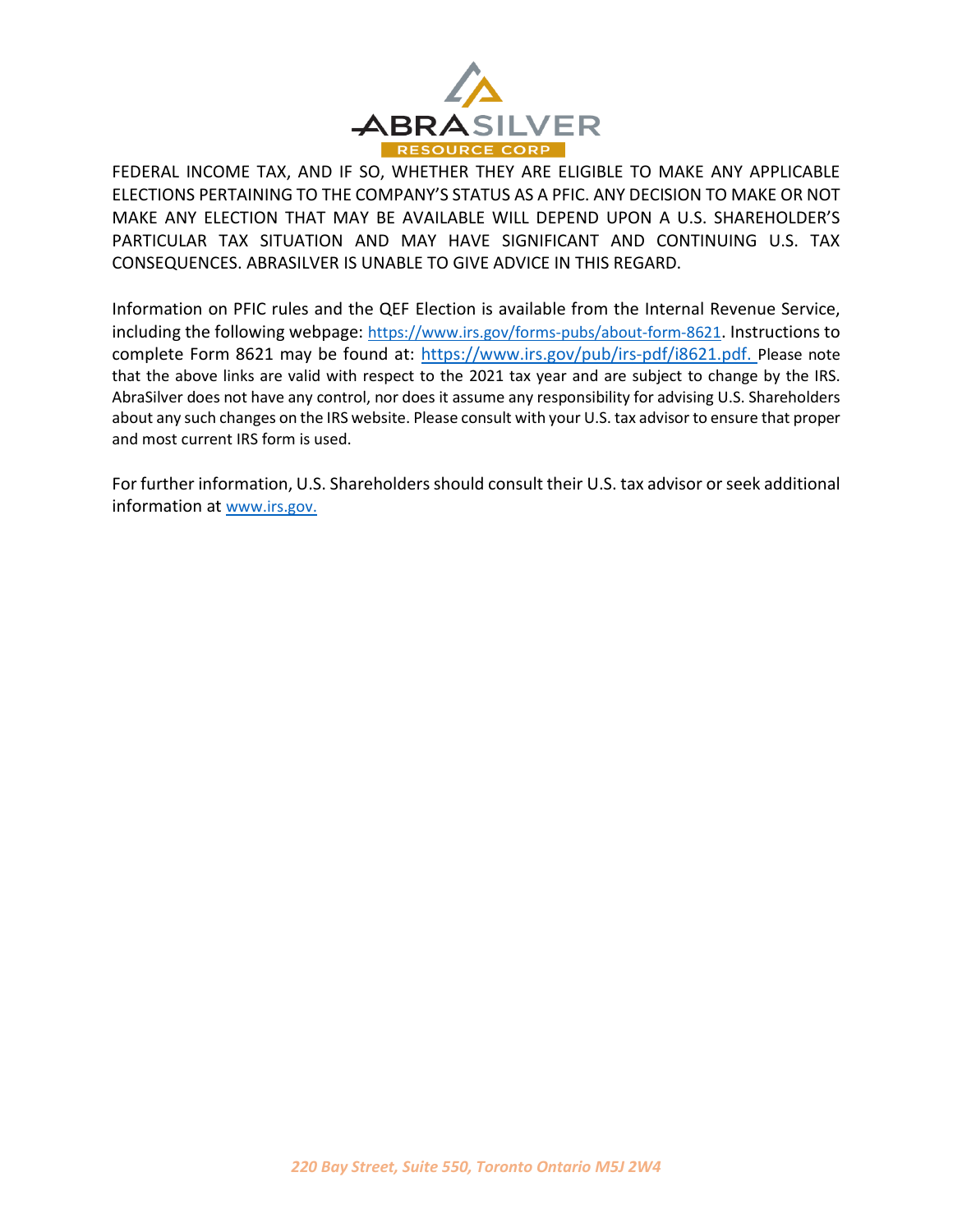

FEDERAL INCOME TAX, AND IF SO, WHETHER THEY ARE ELIGIBLE TO MAKE ANY APPLICABLE ELECTIONS PERTAINING TO THE COMPANY'S STATUS AS A PFIC. ANY DECISION TO MAKE OR NOT MAKE ANY ELECTION THAT MAY BE AVAILABLE WILL DEPEND UPON A U.S. SHAREHOLDER'S PARTICULAR TAX SITUATION AND MAY HAVE SIGNIFICANT AND CONTINUING U.S. TAX CONSEQUENCES. ABRASILVER IS UNABLE TO GIVE ADVICE IN THIS REGARD.

Information on PFIC rules and the QEF Election is available from the Internal Revenue Service, including the following webpage: https://www.irs.gov/forms-pubs/about-form-8621. Instructions to complete Form 8621 may be found at: [https://www.irs.gov/pub/irs-pdf/i8621.pdf.](https://www.irs.gov/pub/irs-pdf/i8621.pdf) Please note that the above links are valid with respect to the 2021 tax year and are subject to change by the IRS. AbraSilver does not have any control, nor does it assume any responsibility for advising U.S. Shareholders about any such changes on the IRS website. Please consult with your U.S. tax advisor to ensure that proper and most current IRS form is used.

For further information, U.S. Shareholders should consult their U.S. tax advisor or seek additional information at www.irs.gov.